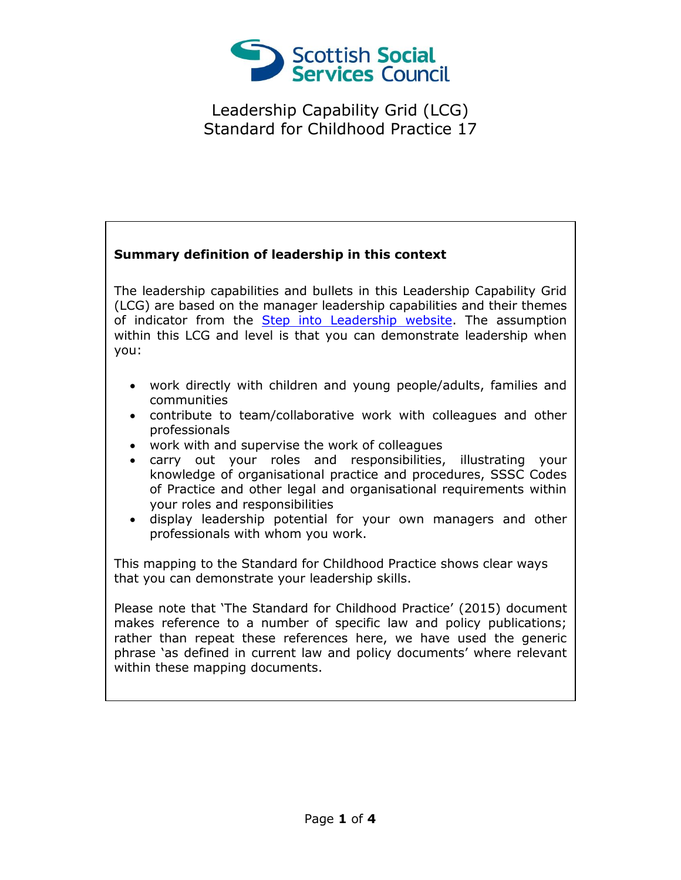

## **Summary definition of leadership in this context**

The leadership capabilities and bullets in this Leadership Capability Grid (LCG) are based on the manager leadership capabilities and their themes of indicator from the [Step into Leadership website.](http://www.stepintoleadership.info/) The assumption within this LCG and level is that you can demonstrate leadership when you:

- work directly with children and young people/adults, families and communities
- contribute to team/collaborative work with colleagues and other professionals
- work with and supervise the work of colleagues
- carry out your roles and responsibilities, illustrating your knowledge of organisational practice and procedures, SSSC Codes of Practice and other legal and organisational requirements within your roles and responsibilities
- display leadership potential for your own managers and other professionals with whom you work.

This mapping to the Standard for Childhood Practice shows clear ways that you can demonstrate your leadership skills.

Please note that 'The Standard for Childhood Practice' (2015) document makes reference to a number of specific law and policy publications; rather than repeat these references here, we have used the generic phrase 'as defined in current law and policy documents' where relevant within these mapping documents.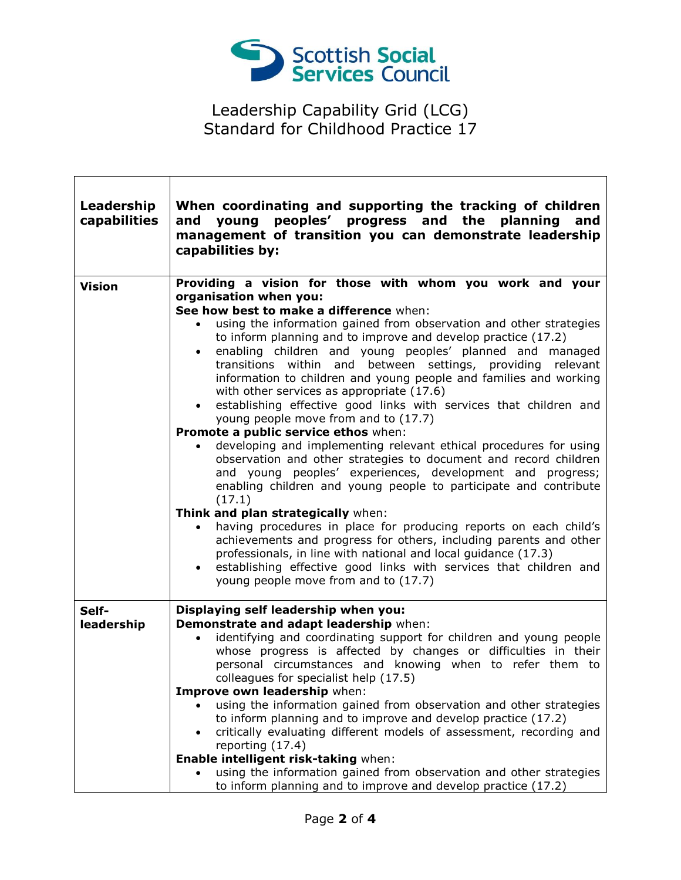

| Leadership<br>capabilities | When coordinating and supporting the tracking of children<br>young peoples' progress and the planning<br>and<br>and<br>management of transition you can demonstrate leadership<br>capabilities by:                                                                                                                                                                                                                                                                                                                                                                                                                                                                                                                                                                                                                                                                                             |
|----------------------------|------------------------------------------------------------------------------------------------------------------------------------------------------------------------------------------------------------------------------------------------------------------------------------------------------------------------------------------------------------------------------------------------------------------------------------------------------------------------------------------------------------------------------------------------------------------------------------------------------------------------------------------------------------------------------------------------------------------------------------------------------------------------------------------------------------------------------------------------------------------------------------------------|
| <b>Vision</b>              | Providing a vision for those with whom you work and your                                                                                                                                                                                                                                                                                                                                                                                                                                                                                                                                                                                                                                                                                                                                                                                                                                       |
|                            | organisation when you:                                                                                                                                                                                                                                                                                                                                                                                                                                                                                                                                                                                                                                                                                                                                                                                                                                                                         |
|                            | See how best to make a difference when:<br>using the information gained from observation and other strategies<br>to inform planning and to improve and develop practice (17.2)<br>enabling children and young peoples' planned and managed<br>$\bullet$<br>transitions within and between settings, providing relevant<br>information to children and young people and families and working<br>with other services as appropriate (17.6)<br>establishing effective good links with services that children and<br>$\bullet$<br>young people move from and to (17.7)<br>Promote a public service ethos when:<br>developing and implementing relevant ethical procedures for using<br>observation and other strategies to document and record children<br>and young peoples' experiences, development and progress;<br>enabling children and young people to participate and contribute<br>(17.1) |
|                            | Think and plan strategically when:<br>having procedures in place for producing reports on each child's<br>achievements and progress for others, including parents and other<br>professionals, in line with national and local guidance (17.3)<br>establishing effective good links with services that children and<br>$\bullet$<br>young people move from and to (17.7)                                                                                                                                                                                                                                                                                                                                                                                                                                                                                                                        |
| Self-                      | Displaying self leadership when you:                                                                                                                                                                                                                                                                                                                                                                                                                                                                                                                                                                                                                                                                                                                                                                                                                                                           |
| leadership                 | Demonstrate and adapt leadership when:<br>identifying and coordinating support for children and young people<br>$\bullet$<br>whose progress is affected by changes or difficulties in their<br>personal circumstances and knowing when to refer them to<br>colleagues for specialist help (17.5)<br>Improve own leadership when:<br>using the information gained from observation and other strategies<br>to inform planning and to improve and develop practice (17.2)<br>critically evaluating different models of assessment, recording and<br>$\bullet$<br>reporting (17.4)<br>Enable intelligent risk-taking when:<br>using the information gained from observation and other strategies                                                                                                                                                                                                  |
|                            | to inform planning and to improve and develop practice (17.2)                                                                                                                                                                                                                                                                                                                                                                                                                                                                                                                                                                                                                                                                                                                                                                                                                                  |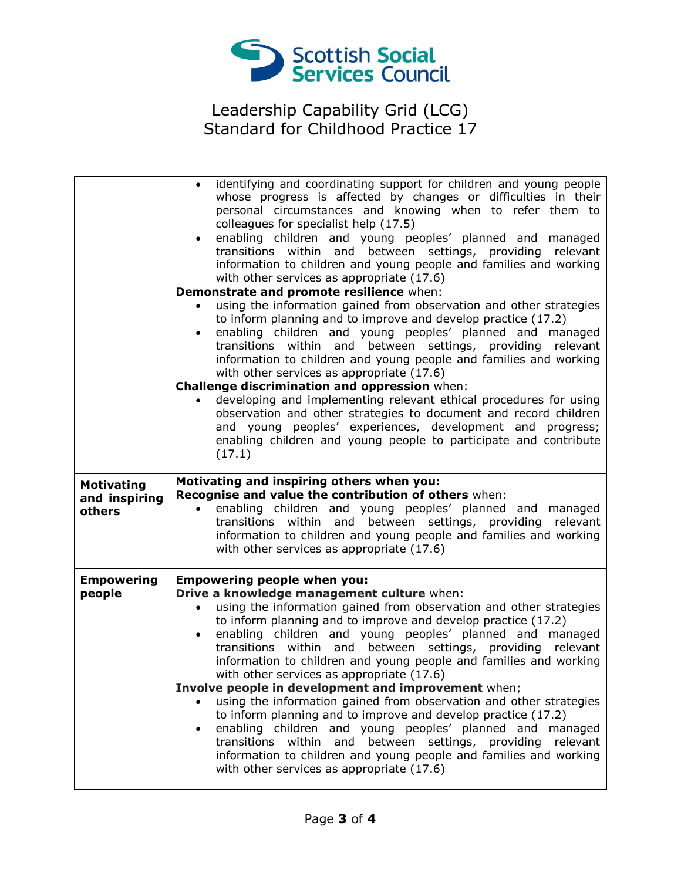

|                         | identifying and coordinating support for children and young people<br>whose progress is affected by changes or difficulties in their<br>personal circumstances and knowing when to refer them to<br>colleagues for specialist help (17.5)<br>enabling children and young peoples' planned and managed<br>transitions within and between settings, providing relevant<br>information to children and young people and families and working<br>with other services as appropriate (17.6)<br>Demonstrate and promote resilience when: |
|-------------------------|------------------------------------------------------------------------------------------------------------------------------------------------------------------------------------------------------------------------------------------------------------------------------------------------------------------------------------------------------------------------------------------------------------------------------------------------------------------------------------------------------------------------------------|
|                         | using the information gained from observation and other strategies                                                                                                                                                                                                                                                                                                                                                                                                                                                                 |
|                         | to inform planning and to improve and develop practice (17.2)<br>enabling children and young peoples' planned and managed<br>$\bullet$<br>transitions within and between settings, providing relevant<br>information to children and young people and families and working<br>with other services as appropriate (17.6)<br>Challenge discrimination and oppression when:                                                                                                                                                           |
|                         | developing and implementing relevant ethical procedures for using                                                                                                                                                                                                                                                                                                                                                                                                                                                                  |
|                         | observation and other strategies to document and record children<br>and young peoples' experiences, development and progress;<br>enabling children and young people to participate and contribute<br>(17.1)                                                                                                                                                                                                                                                                                                                        |
| <b>Motivating</b>       | Motivating and inspiring others when you:                                                                                                                                                                                                                                                                                                                                                                                                                                                                                          |
|                         |                                                                                                                                                                                                                                                                                                                                                                                                                                                                                                                                    |
| and inspiring<br>others | Recognise and value the contribution of others when:<br>enabling children and young peoples' planned and managed<br>$\bullet$<br>transitions within and between settings, providing relevant<br>information to children and young people and families and working<br>with other services as appropriate (17.6)                                                                                                                                                                                                                     |
| <b>Empowering</b>       | <b>Empowering people when you:</b>                                                                                                                                                                                                                                                                                                                                                                                                                                                                                                 |